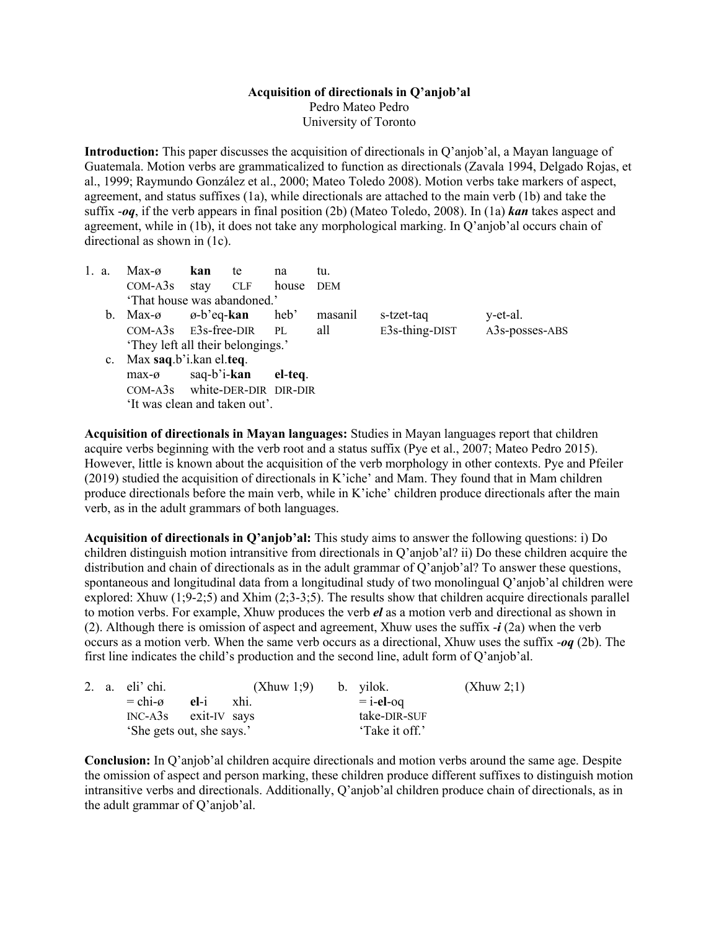## **Acquisition of directionals in Q'anjob'al** Pedro Mateo Pedro

University of Toronto

**Introduction:** This paper discusses the acquisition of directionals in Q'anjob'al, a Mayan language of Guatemala. Motion verbs are grammaticalized to function as directionals (Zavala 1994, Delgado Rojas, et al., 1999; Raymundo González et al., 2000; Mateo Toledo 2008). Motion verbs take markers of aspect, agreement, and status suffixes (1a), while directionals are attached to the main verb (1b) and take the suffix -*oq*, if the verb appears in final position (2b) (Mateo Toledo, 2008). In (1a) *kan* takes aspect and agreement, while in (1b), it does not take any morphological marking. In Q'anjob'al occurs chain of directional as shown in (1c).

| 1. a. | $Max-0$                                   | kan                 | te | na      | tu.     |                   |                |  |  |  |
|-------|-------------------------------------------|---------------------|----|---------|---------|-------------------|----------------|--|--|--|
|       | $COM-ASs$ stay $CLF$ house                |                     |    |         | DEM     |                   |                |  |  |  |
|       | 'That house was abandoned.'               |                     |    |         |         |                   |                |  |  |  |
|       | b. Max- $\emptyset$ $\emptyset$ -b'eq-kan |                     |    | heb'    | masanil | s-tzet-taq        | y-et-al.       |  |  |  |
|       | $COM-ASs$ $E3s-free-DIR$ PL               |                     |    |         | all     | $E3s$ -thing-DIST | A3s-posses-ABS |  |  |  |
|       | 'They left all their belongings.'         |                     |    |         |         |                   |                |  |  |  |
|       | c. Max saq.b'i.kan el.teq.                |                     |    |         |         |                   |                |  |  |  |
|       | $max-o$                                   | saq-b'i- <b>kan</b> |    | el-teq. |         |                   |                |  |  |  |
|       | COM-A3s white-DER-DIR DIR-DIR             |                     |    |         |         |                   |                |  |  |  |
|       | 'It was clean and taken out'.             |                     |    |         |         |                   |                |  |  |  |

**Acquisition of directionals in Mayan languages:** Studies in Mayan languages report that children acquire verbs beginning with the verb root and a status suffix (Pye et al., 2007; Mateo Pedro 2015). However, little is known about the acquisition of the verb morphology in other contexts. Pye and Pfeiler (2019) studied the acquisition of directionals in K'iche' and Mam. They found that in Mam children produce directionals before the main verb, while in K'iche' children produce directionals after the main verb, as in the adult grammars of both languages.

**Acquisition of directionals in Q'anjob'al:** This study aims to answer the following questions: i) Do children distinguish motion intransitive from directionals in Q'anjob'al? ii) Do these children acquire the distribution and chain of directionals as in the adult grammar of Q'anjob'al? To answer these questions, spontaneous and longitudinal data from a longitudinal study of two monolingual Q'anjob'al children were explored: Xhuw (1;9-2;5) and Xhim (2;3-3;5). The results show that children acquire directionals parallel to motion verbs. For example, Xhuw produces the verb *el* as a motion verb and directional as shown in (2). Although there is omission of aspect and agreement, Xhuw uses the suffix -*i* (2a) when the verb occurs as a motion verb. When the same verb occurs as a directional, Xhuw uses the suffix -*oq* (2b). The first line indicates the child's production and the second line, adult form of Q'anjob'al.

|  | 2. a. $eli' chi$ .        |  | $(Xhuw 1;9)$ b. yilok. |              | (Xhuw 2;1) |
|--|---------------------------|--|------------------------|--------------|------------|
|  | $=$ chi- $\alpha$ el-i    |  | xhi.                   | $=$ i-el-oq  |            |
|  | $INC-A3s$ exit-IV says    |  |                        | take-DIR-SUF |            |
|  | 'She gets out, she says.' |  | 'Take it off.'         |              |            |

**Conclusion:** In Q'anjob'al children acquire directionals and motion verbs around the same age. Despite the omission of aspect and person marking, these children produce different suffixes to distinguish motion intransitive verbs and directionals. Additionally, Q'anjob'al children produce chain of directionals, as in the adult grammar of Q'anjob'al.